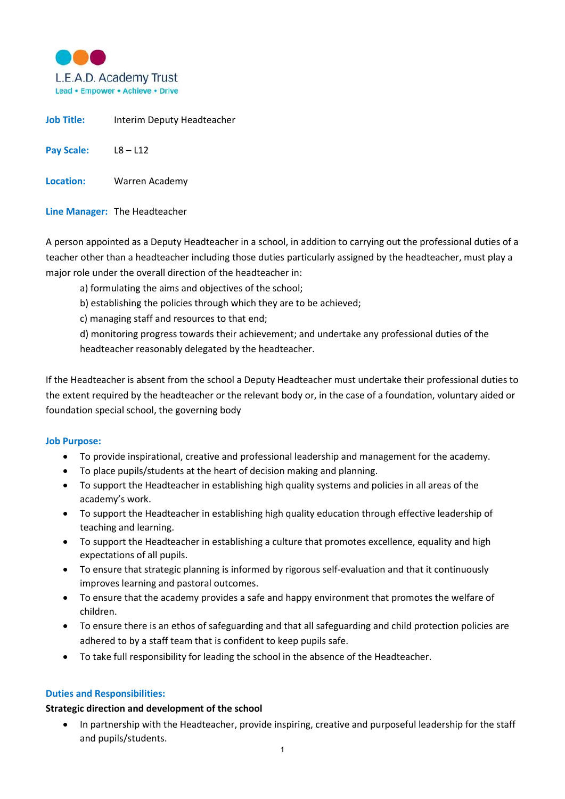

Job Title: Interim Deputy Headteacher Pay Scale: L8-L12

Location: Warren Academy

Line Manager: The Headteacher

A person appointed as a Deputy Headteacher in a school, in addition to carrying out the professional duties of a teacher other than a headteacher including those duties particularly assigned by the headteacher, must play a major role under the overall direction of the headteacher in:

a) formulating the aims and objectives of the school;

b) establishing the policies through which they are to be achieved;

c) managing staff and resources to that end;

d) monitoring progress towards their achievement; and undertake any professional duties of the headteacher reasonably delegated by the headteacher.

If the Headteacher is absent from the school a Deputy Headteacher must undertake their professional duties to the extent required by the headteacher or the relevant body or, in the case of a foundation, voluntary aided or foundation special school, the governing body

## Job Purpose:

- To provide inspirational, creative and professional leadership and management for the academy.
- To place pupils/students at the heart of decision making and planning.
- To support the Headteacher in establishing high quality systems and policies in all areas of the academy's work.
- To support the Headteacher in establishing high quality education through effective leadership of teaching and learning.
- To support the Headteacher in establishing a culture that promotes excellence, equality and high expectations of all pupils.
- To ensure that strategic planning is informed by rigorous self-evaluation and that it continuously improves learning and pastoral outcomes.
- To ensure that the academy provides a safe and happy environment that promotes the welfare of children.
- To ensure there is an ethos of safeguarding and that all safeguarding and child protection policies are adhered to by a staff team that is confident to keep pupils safe.
- To take full responsibility for leading the school in the absence of the Headteacher.

## Duties and Responsibilities:

## Strategic direction and development of the school

 In partnership with the Headteacher, provide inspiring, creative and purposeful leadership for the staff and pupils/students.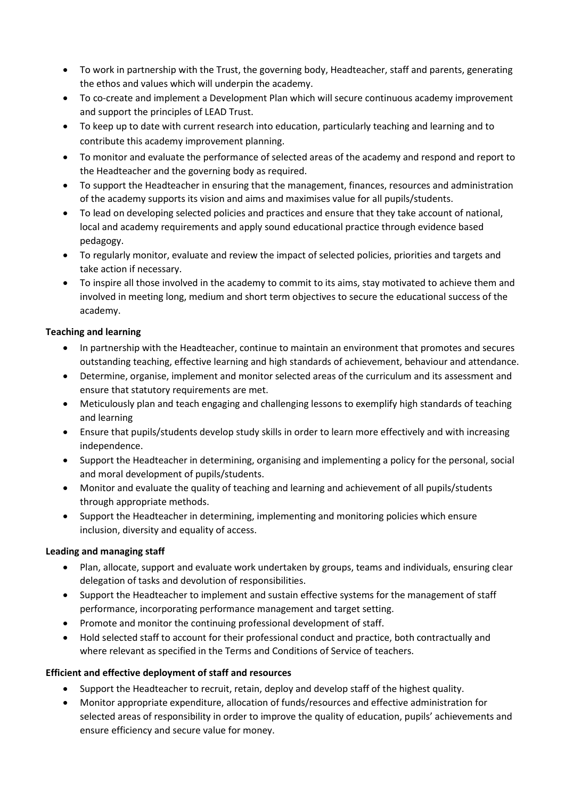- To work in partnership with the Trust, the governing body, Headteacher, staff and parents, generating the ethos and values which will underpin the academy.
- To co-create and implement a Development Plan which will secure continuous academy improvement and support the principles of LEAD Trust.
- To keep up to date with current research into education, particularly teaching and learning and to contribute this academy improvement planning.
- To monitor and evaluate the performance of selected areas of the academy and respond and report to the Headteacher and the governing body as required.
- To support the Headteacher in ensuring that the management, finances, resources and administration of the academy supports its vision and aims and maximises value for all pupils/students.
- To lead on developing selected policies and practices and ensure that they take account of national, local and academy requirements and apply sound educational practice through evidence based pedagogy.
- To regularly monitor, evaluate and review the impact of selected policies, priorities and targets and take action if necessary.
- To inspire all those involved in the academy to commit to its aims, stay motivated to achieve them and involved in meeting long, medium and short term objectives to secure the educational success of the academy.

## Teaching and learning

- In partnership with the Headteacher, continue to maintain an environment that promotes and secures outstanding teaching, effective learning and high standards of achievement, behaviour and attendance.
- Determine, organise, implement and monitor selected areas of the curriculum and its assessment and ensure that statutory requirements are met.
- Meticulously plan and teach engaging and challenging lessons to exemplify high standards of teaching and learning
- Ensure that pupils/students develop study skills in order to learn more effectively and with increasing independence.
- Support the Headteacher in determining, organising and implementing a policy for the personal, social and moral development of pupils/students.
- Monitor and evaluate the quality of teaching and learning and achievement of all pupils/students through appropriate methods.
- Support the Headteacher in determining, implementing and monitoring policies which ensure inclusion, diversity and equality of access.

# Leading and managing staff

- Plan, allocate, support and evaluate work undertaken by groups, teams and individuals, ensuring clear delegation of tasks and devolution of responsibilities.
- Support the Headteacher to implement and sustain effective systems for the management of staff performance, incorporating performance management and target setting.
- Promote and monitor the continuing professional development of staff.
- Hold selected staff to account for their professional conduct and practice, both contractually and where relevant as specified in the Terms and Conditions of Service of teachers.

# Efficient and effective deployment of staff and resources

- Support the Headteacher to recruit, retain, deploy and develop staff of the highest quality.
- Monitor appropriate expenditure, allocation of funds/resources and effective administration for selected areas of responsibility in order to improve the quality of education, pupils' achievements and ensure efficiency and secure value for money.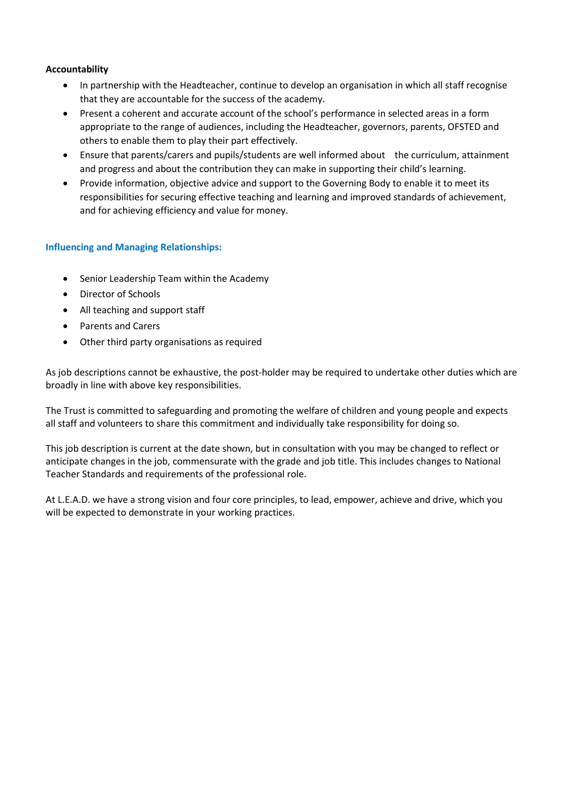#### Accountability

- In partnership with the Headteacher, continue to develop an organisation in which all staff recognise that they are accountable for the success of the academy.
- Present a coherent and accurate account of the school's performance in selected areas in a form appropriate to the range of audiences, including the Headteacher, governors, parents, OFSTED and others to enable them to play their part effectively.
- Ensure that parents/carers and pupils/students are well informed about the curriculum, attainment and progress and about the contribution they can make in supporting their child's learning.
- Provide information, objective advice and support to the Governing Body to enable it to meet its responsibilities for securing effective teaching and learning and improved standards of achievement, and for achieving efficiency and value for money.

## Influencing and Managing Relationships:

- Senior Leadership Team within the Academy
- Director of Schools
- All teaching and support staff
- Parents and Carers
- Other third party organisations as required

As job descriptions cannot be exhaustive, the post-holder may be required to undertake other duties which are broadly in line with above key responsibilities.

The Trust is committed to safeguarding and promoting the welfare of children and young people and expects all staff and volunteers to share this commitment and individually take responsibility for doing so.

This job description is current at the date shown, but in consultation with you may be changed to reflect or anticipate changes in the job, commensurate with the grade and job title. This includes changes to National Teacher Standards and requirements of the professional role.

At L.E.A.D. we have a strong vision and four core principles, to lead, empower, achieve and drive, which you will be expected to demonstrate in your working practices.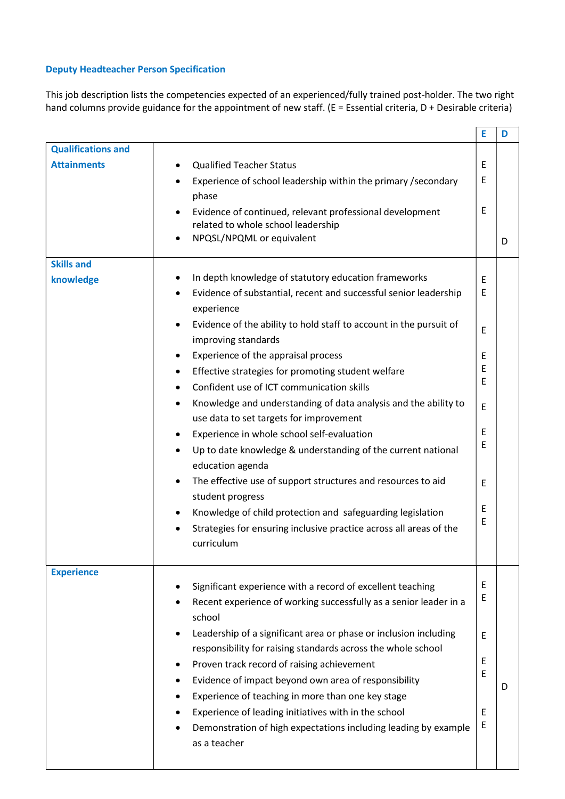## Deputy Headteacher Person Specification

This job description lists the competencies expected of an experienced/fully trained post-holder. The two right hand columns provide guidance for the appointment of new staff. (E = Essential criteria, D + Desirable criteria)

|                           |                                                                                                                                           | Е      | D |
|---------------------------|-------------------------------------------------------------------------------------------------------------------------------------------|--------|---|
| <b>Qualifications and</b> |                                                                                                                                           |        |   |
| <b>Attainments</b>        | <b>Qualified Teacher Status</b>                                                                                                           | E      |   |
|                           | Experience of school leadership within the primary / secondary<br>phase                                                                   | E      |   |
|                           | Evidence of continued, relevant professional development<br>related to whole school leadership                                            | E      |   |
|                           | NPQSL/NPQML or equivalent                                                                                                                 |        | D |
| <b>Skills and</b>         |                                                                                                                                           |        |   |
| knowledge                 | In depth knowledge of statutory education frameworks<br>Evidence of substantial, recent and successful senior leadership<br>experience    | E<br>E |   |
|                           | Evidence of the ability to hold staff to account in the pursuit of<br>improving standards                                                 | E      |   |
|                           | Experience of the appraisal process                                                                                                       | E      |   |
|                           | Effective strategies for promoting student welfare<br>Confident use of ICT communication skills                                           | E<br>E |   |
|                           | Knowledge and understanding of data analysis and the ability to<br>use data to set targets for improvement                                | E      |   |
|                           | Experience in whole school self-evaluation                                                                                                | E      |   |
|                           | Up to date knowledge & understanding of the current national<br>education agenda                                                          | E      |   |
|                           | The effective use of support structures and resources to aid<br>student progress                                                          | E      |   |
|                           | Knowledge of child protection and safeguarding legislation                                                                                | Ε      |   |
|                           | Strategies for ensuring inclusive practice across all areas of the<br>curriculum                                                          | E      |   |
|                           |                                                                                                                                           |        |   |
| <b>Experience</b>         |                                                                                                                                           | E      |   |
|                           | Significant experience with a record of excellent teaching<br>Recent experience of working successfully as a senior leader in a<br>school | E      |   |
|                           | Leadership of a significant area or phase or inclusion including                                                                          |        |   |
|                           | responsibility for raising standards across the whole school                                                                              | E      |   |
|                           | Proven track record of raising achievement                                                                                                | Е      |   |
|                           | Evidence of impact beyond own area of responsibility                                                                                      | E      |   |
|                           | Experience of teaching in more than one key stage                                                                                         |        | D |
|                           | Experience of leading initiatives with in the school                                                                                      | E      |   |
|                           | Demonstration of high expectations including leading by example<br>as a teacher                                                           | E      |   |
|                           |                                                                                                                                           |        |   |